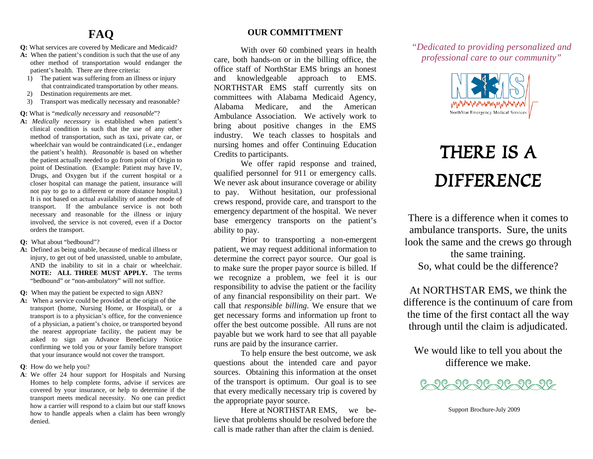## **FAQ**

- **Q:** What services are covered by Medicare and Medicaid?
- A: When the patient's condition is such that the use of any other method of transportation would endanger the patient's health. There are three criteria:
	- 1) The patient was suffering from an illness or injury that contraindicated transportation by other means.
	- 2) Destination requirements are met.
	- 3) Transport was medically necessary and reasonable?

**Q:** What is "*medically necessary* and *reasonable*"?

- **A:** *Medically necessary* is established when patient's clinical condition is such that the use of any other method of transportation, such as taxi, private car, or wheelchair van would be contraindicated (i.e., endanger the patient's health). *Reasonable* is based on whether the patient actually needed to go from point of Origin to point of Destination. (Example: Patient may have IV, Drugs, and Oxygen but if the current hospital or a closer hospital can manage the patient, insurance will not pay to go to a different or more distance hospital.) It is not based on actual availability of another mode of transport. If the ambulance service is not both necessary and reasonable for the illness or injury involved, the service is not covered, even if a Doctor orders the transport.
- **Q:** What about "bedbound"?
- **A:** Defined as being unable, because of medical illness or injury, to get out of bed unassisted, unable to ambulate, AND the inability to sit in a chair or wheelchair. **NOTE: ALL THREE MUST APPLY.** The terms "bedbound" or "non-ambulatory" will not suffice.

**Q:** When may the patient be expected to sign ABN?

- **A:** When a service could be provided at the origin of the transport (home, Nursing Home, or Hospital), or a transport is to a physician's office, for the convenience of a physician, a patient's choice, or transported beyond the nearest appropriate facility, the patient may be asked to sign an Advance Beneficiary Notice confirming we told you or your family before transport that your insurance would not cover the transport.
- **Q**: How do we help you?
- **A**: We offer 24 hour support for Hospitals and Nursing Homes to help complete forms, advise if services are covered by your insurance, or help to determine if the transport meets medical necessity. No one can predict how a carrier will respond to a claim but our staff knows how to handle appeals when a claim has been wrongly denied.

## **OUR COMMITTMENT**

With over 60 combined years in health care, both hands-on or in the billing office, the office staff of NorthStar EMS brings an honest and knowledgeable approach to EMS. NORTHSTAR EMS staff currently sits on committees with Alabama Medicaid Agency, Alabama Medicare, and the American Ambulance Association. We actively work to bring about positive changes in the EMS industry. We teach classes to hospitals and nursing homes and offer Continuing Education Credits to participants.

We offer rapid response and trained, qualified personnel for 911 or emergency calls. We never ask about insurance coverage or ability to pay. Without hesitation, our professional crews respond, provide care, and transport to the emergency department of the hospital. We never base emergency transports on the patient's ability to pay.

Prior to transporting a non-emergent patient, we may request additional information to determine the correct payor source. Our goal is to make sure the proper payor source is billed. If we recognize a problem, we feel it is our responsibility to advise the patient or the facility of any financial responsibility on their part. We call that *responsible billing*. We ensure that we get necessary forms and information up front to offer the best outcome possible. All runs are not payable but we work hard to see that all payable runs are paid by the insurance carrier.

To help ensure the best outcome, we ask questions about the intended care and payor sources. Obtaining this information at the onset of the transport is optimum. Our goal is to see that every medically necessary trip is covered by the appropriate payor source.

Here at NORTHSTAR EMS, we believe that problems should be resolved before the call is made rather than after the claim is denied.

*"Dedicated to providing personalized and professional care to our community"* 



# *THERE IS A DIFFERENCE*

There is a difference when it comes to ambulance transports. Sure, the units look the same and the crews go through the same training. So, what could be the difference?

At NORTHSTAR EMS, we think the difference is the continuum of care from the time of the first contact all the way through until the claim is adjudicated.

We would like to tell you about the difference we make.



Support Brochure-July 2009